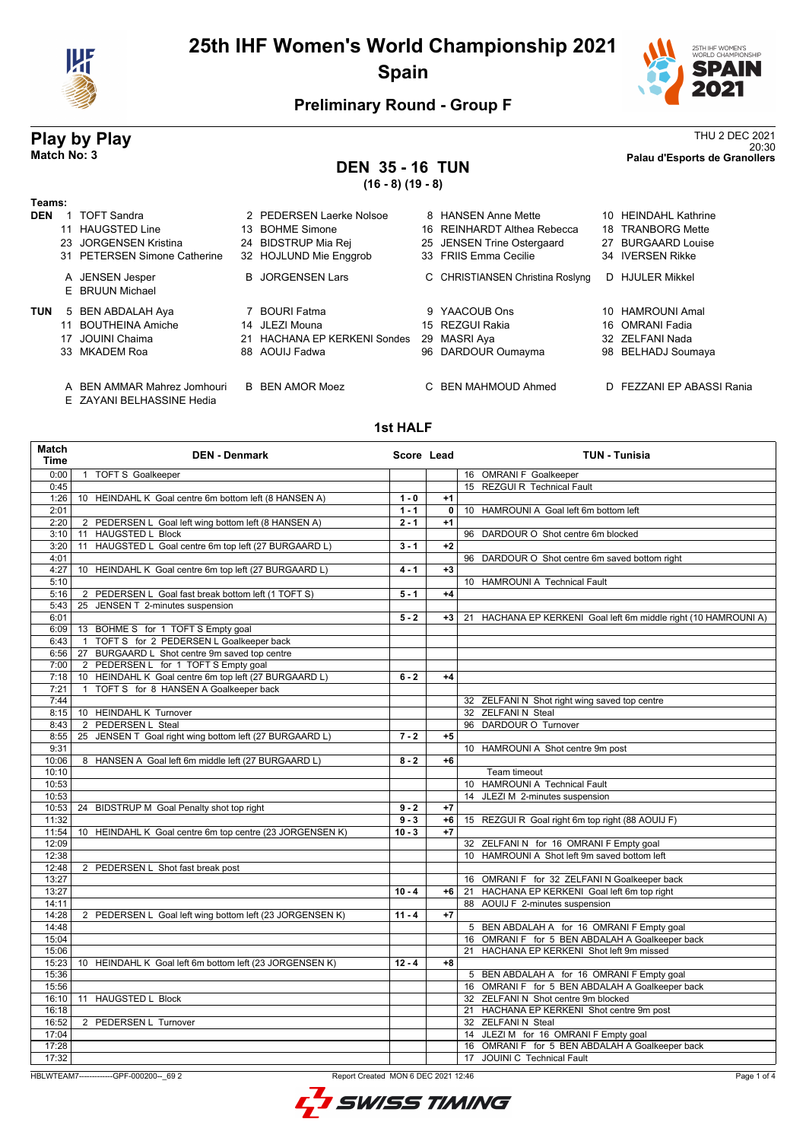



## **Preliminary Round - Group F**

### **DEN 35 - 16 TUN (16 - 8) (19 - 8)**

**Play by Play** Thu 2 DEC 2021 20:30 **Match No: 3 Palau d'Esports de Granollers**

#### **Teams:**

| l eams:    |    |                                    |                              |                                  |    |                      |
|------------|----|------------------------------------|------------------------------|----------------------------------|----|----------------------|
| <b>DEN</b> |    | <b>TOFT Sandra</b>                 | 2 PEDERSEN Laerke Nolsoe     | 8 HANSEN Anne Mette              |    | 10 HEINDAHL Kathrine |
|            | 11 | <b>HAUGSTED Line</b>               | 13 BOHME Simone              | 16 REINHARDT Althea Rebecca      |    | 18 TRANBORG Mette    |
|            |    | 23 JORGENSEN Kristina              | 24 BIDSTRUP Mia Rej          | 25 JENSEN Trine Ostergaard       |    | 27 BURGAARD Louise   |
|            |    | 31 PETERSEN Simone Catherine       | 32 HOJLUND Mie Enggrob       | 33 FRIIS Emma Cecilie            |    | 34 IVERSEN Rikke     |
|            |    | A JENSEN Jesper<br>E BRUUN Michael | <b>B</b> JORGENSEN Lars      | C CHRISTIANSEN Christina Roslyng | D. | <b>HJULER Mikkel</b> |
| <b>TUN</b> |    | 5 BEN ABDALAH Aya                  | 7 BOURI Fatma                | 9 YAACOUB Ons                    |    | 10 HAMROUNI Amal     |
|            |    | 11 BOUTHEINA Amiche                | 14 JLEZI Mouna               | 15 REZGUI Rakia                  |    | 16 OMRANI Fadia      |
|            |    | 17 JOUINI Chaima                   | 21 HACHANA EP KERKENI Sondes | 29 MASRI Aya                     |    | 32 ZELFANI Nada      |
|            |    | 33 MKADEM Roa                      | 88 AOUIJ Fadwa               | 96 DARDOUR Oumayma               |    | 98 BELHADJ Soumaya   |
|            |    |                                    |                              |                                  |    |                      |
|            |    |                                    |                              |                                  |    |                      |

- A BEN AMMAR Mahrez Jomhouri B BEN AMOR Moez C BEN MAHMOUD Ahmed D FEZZANI EP ABASSI Rania
- E ZAYANI BELHASSINE Hedia

#### **1st HALF**

| <b>Match</b><br><b>Time</b> | <b>DEN - Denmark</b>                                     | Score Lead |      | <b>TUN - Tunisia</b>                                            |
|-----------------------------|----------------------------------------------------------|------------|------|-----------------------------------------------------------------|
| 0:00                        | 1 TOFT S Goalkeeper                                      |            |      | 16 OMRANI F Goalkeeper                                          |
| 0:45                        |                                                          |            |      | 15 REZGUI R Technical Fault                                     |
| 1:26                        | 10 HEINDAHL K Goal centre 6m bottom left (8 HANSEN A)    | $1 - 0$    | $+1$ |                                                                 |
| 2:01                        |                                                          | $1 - 1$    | 0    | 10 HAMROUNI A Goal left 6m bottom left                          |
| 2:20                        | 2 PEDERSEN L Goal left wing bottom left (8 HANSEN A)     | $2 - 1$    | $+1$ |                                                                 |
| 3:10                        | 11 HAUGSTED L Block                                      |            |      | 96 DARDOUR O Shot centre 6m blocked                             |
| 3:20                        | 11 HAUGSTED L Goal centre 6m top left (27 BURGAARD L)    | $3 - 1$    | $+2$ |                                                                 |
| 4:01                        |                                                          |            |      | 96 DARDOUR O Shot centre 6m saved bottom right                  |
| 4:27                        | 10 HEINDAHL K Goal centre 6m top left (27 BURGAARD L)    | $4 - 1$    | $+3$ |                                                                 |
| 5:10                        |                                                          |            |      | 10 HAMROUNI A Technical Fault                                   |
| 5:16                        | 2 PEDERSEN L Goal fast break bottom left (1 TOFT S)      | $5 - 1$    | $+4$ |                                                                 |
| 5:43                        | 25 JENSEN T 2-minutes suspension                         |            |      |                                                                 |
| 6:01                        |                                                          | $5 - 2$    | +3   | 21 HACHANA EP KERKENI Goal left 6m middle right (10 HAMROUNI A) |
| 6:09                        | 13 BOHME S for 1 TOFT S Empty goal                       |            |      |                                                                 |
| 6:43                        | 1 TOFT S for 2 PEDERSEN L Goalkeeper back                |            |      |                                                                 |
| 6:56                        | 27 BURGAARD L Shot centre 9m saved top centre            |            |      |                                                                 |
| 7:00                        | 2 PEDERSEN L for 1 TOFT S Empty goal                     |            |      |                                                                 |
| 7:18                        | 10 HEINDAHL K Goal centre 6m top left (27 BURGAARD L)    | $6 - 2$    | $+4$ |                                                                 |
| 7:21                        | 1 TOFT S for 8 HANSEN A Goalkeeper back                  |            |      |                                                                 |
| 7:44                        |                                                          |            |      | 32 ZELFANI N Shot right wing saved top centre                   |
| 8:15                        | 10 HEINDAHL K Turnover                                   |            |      | 32 ZELFANI N Steal                                              |
| 8:43                        | 2 PEDERSEN L Steal                                       |            |      | 96 DARDOUR O Turnover                                           |
| 8:55                        | 25 JENSEN T Goal right wing bottom left (27 BURGAARD L)  | $7 - 2$    | $+5$ |                                                                 |
| 9:31                        |                                                          |            |      | 10 HAMROUNI A Shot centre 9m post                               |
| 10:06                       | 8 HANSEN A Goal left 6m middle left (27 BURGAARD L)      | $8 - 2$    | $+6$ |                                                                 |
| 10:10                       |                                                          |            |      | Team timeout                                                    |
| 10:53                       |                                                          |            |      | 10 HAMROUNI A Technical Fault                                   |
| 10:53                       |                                                          |            |      | 14 JLEZI M 2-minutes suspension                                 |
| 10:53                       | 24 BIDSTRUP M Goal Penalty shot top right                | $9 - 2$    | $+7$ |                                                                 |
| 11:32                       |                                                          | $9 - 3$    | $+6$ | 15 REZGUI R Goal right 6m top right (88 AOUIJ F)                |
| 11:54                       | 10 HEINDAHL K Goal centre 6m top centre (23 JORGENSEN K) | $10 - 3$   | $+7$ |                                                                 |
| 12:09                       |                                                          |            |      | 32 ZELFANI N for 16 OMRANI F Empty goal                         |
| 12:38                       |                                                          |            |      | 10 HAMROUNI A Shot left 9m saved bottom left                    |
| 12:48                       | 2 PEDERSEN L Shot fast break post                        |            |      |                                                                 |
| 13:27                       |                                                          |            |      | 16 OMRANI F for 32 ZELFANI N Goalkeeper back                    |
| 13:27                       |                                                          | $10 - 4$   | +6   | 21 HACHANA EP KERKENI Goal left 6m top right                    |
| 14:11                       |                                                          |            |      | 88 AOUIJ F 2-minutes suspension                                 |
| 14:28                       | 2 PEDERSEN L Goal left wing bottom left (23 JORGENSEN K) | $11 - 4$   | $+7$ |                                                                 |
| 14:48                       |                                                          |            |      | 5 BEN ABDALAH A for 16 OMRANI F Empty goal                      |
| 15:04                       |                                                          |            |      | 16 OMRANI F for 5 BEN ABDALAH A Goalkeeper back                 |
| 15:06                       |                                                          |            |      | 21 HACHANA EP KERKENI Shot left 9m missed                       |
| 15:23                       | 10 HEINDAHL K Goal left 6m bottom left (23 JORGENSEN K)  | $12 - 4$   | $+8$ |                                                                 |
| 15:36                       |                                                          |            |      | 5 BEN ABDALAH A for 16 OMRANI F Empty goal                      |
| 15:56                       |                                                          |            |      | 16 OMRANI F for 5 BEN ABDALAH A Goalkeeper back                 |
| 16:10                       | 11 HAUGSTED L Block                                      |            |      | 32 ZELFANI N Shot centre 9m blocked                             |
| 16:18                       |                                                          |            |      | 21 HACHANA EP KERKENI Shot centre 9m post                       |
| 16:52                       | 2 PEDERSEN L Turnover                                    |            |      | 32 ZELFANI N Steal                                              |
| 17:04                       |                                                          |            |      | 14 JLEZI M for 16 OMRANI F Empty goal                           |
| 17:28                       |                                                          |            |      | 16 OMRANI F for 5 BEN ABDALAH A Goalkeeper back                 |
| 17:32                       |                                                          |            |      | 17 JOUINI C Technical Fault                                     |

HBLWTEAM7-------------GPF-000200--\_69 2 Report Created MON 6 DEC 2021 12:46

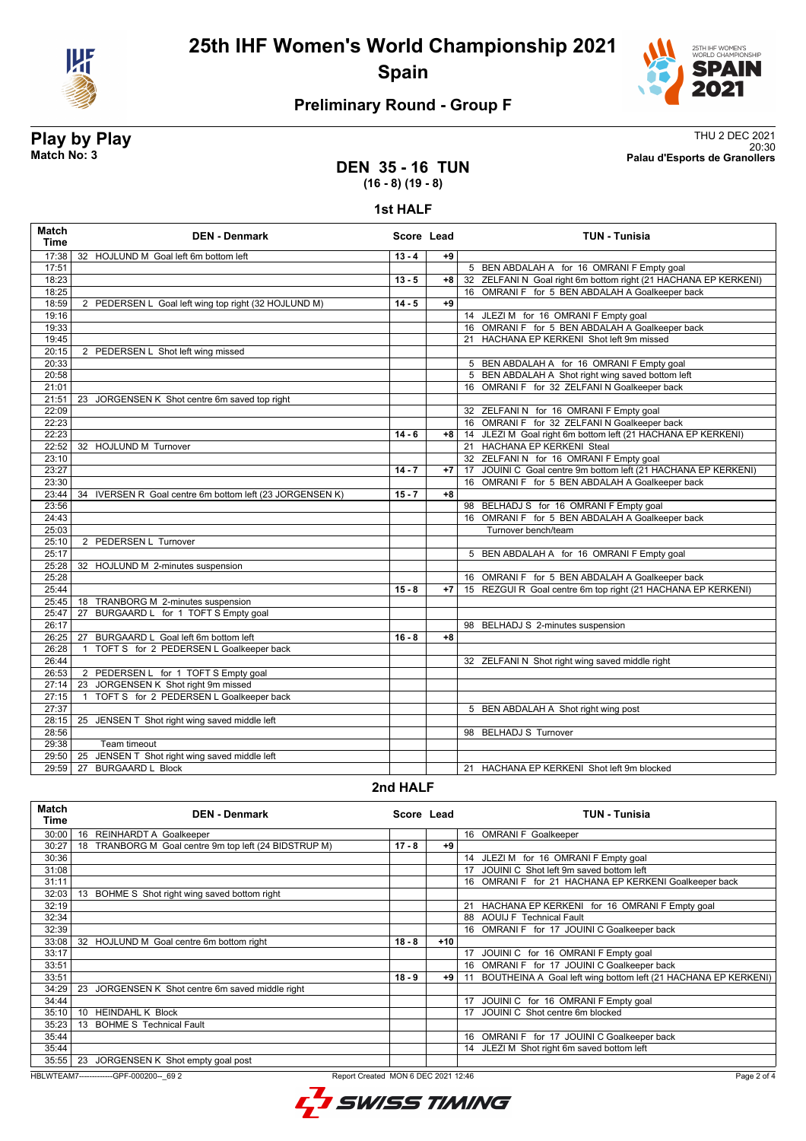



## **Preliminary Round - Group F**

**Play by Play**<br>Match No: 3<br>Palau d'Esports de Granollers 20:30 **Match No: 3 Palau d'Esports de Granollers**

### **DEN 35 - 16 TUN (16 - 8) (19 - 8)**

#### **1st HALF**

| Match<br><b>Time</b> | <b>DEN - Denmark</b>                                        | Score Lead |      | <b>TUN - Tunisia</b>                                            |
|----------------------|-------------------------------------------------------------|------------|------|-----------------------------------------------------------------|
| 17:38                | 32 HOJLUND M Goal left 6m bottom left                       | $13 - 4$   | $+9$ |                                                                 |
| 17:51                |                                                             |            |      | 5 BEN ABDALAH A for 16 OMRANI F Empty goal                      |
| 18:23                |                                                             | $13 - 5$   | $+8$ | 32 ZELFANI N Goal right 6m bottom right (21 HACHANA EP KERKENI) |
| 18:25                |                                                             |            |      | 16 OMRANI F for 5 BEN ABDALAH A Goalkeeper back                 |
| 18:59                | 2 PEDERSEN L Goal left wing top right (32 HOJLUND M)        | $14 - 5$   | $+9$ |                                                                 |
| 19:16                |                                                             |            |      | 14 JLEZI M for 16 OMRANI F Empty goal                           |
| 19:33                |                                                             |            |      | 16 OMRANI F for 5 BEN ABDALAH A Goalkeeper back                 |
| 19:45                |                                                             |            |      | 21 HACHANA EP KERKENI Shot left 9m missed                       |
| 20:15                | 2 PEDERSEN L Shot left wing missed                          |            |      |                                                                 |
| 20:33                |                                                             |            |      | 5 BEN ABDALAH A for 16 OMRANI F Empty goal                      |
| 20:58                |                                                             |            |      | 5 BEN ABDALAH A Shot right wing saved bottom left               |
| 21:01                |                                                             |            |      | 16 OMRANI F for 32 ZELFANI N Goalkeeper back                    |
| 21:51                | 23 JORGENSEN K Shot centre 6m saved top right               |            |      |                                                                 |
| 22:09                |                                                             |            |      | 32 ZELFANIN for 16 OMRANIF Empty goal                           |
| 22:23                |                                                             |            |      | 16 OMRANI F for 32 ZELFANI N Goalkeeper back                    |
| 22:23                |                                                             | $14 - 6$   | $+8$ | 14 JLEZI M Goal right 6m bottom left (21 HACHANA EP KERKENI)    |
| 22:52                | 32 HOJLUND M Turnover                                       |            |      | 21 HACHANA EP KERKENI Steal                                     |
| 23:10                |                                                             |            |      | 32 ZELFANI N for 16 OMRANI F Empty goal                         |
| 23:27                |                                                             | $14 - 7$   | $+7$ | 17 JOUINI C Goal centre 9m bottom left (21 HACHANA EP KERKENI)  |
| 23:30                |                                                             |            |      | 16 OMRANI F for 5 BEN ABDALAH A Goalkeeper back                 |
| 23:44                | 34<br>IVERSEN R Goal centre 6m bottom left (23 JORGENSEN K) | $15 - 7$   | $+8$ |                                                                 |
| 23:56                |                                                             |            |      | 98 BELHADJ S for 16 OMRANI F Empty goal                         |
| 24:43                |                                                             |            |      | 16 OMRANI F for 5 BEN ABDALAH A Goalkeeper back                 |
| 25:03                |                                                             |            |      | Turnover bench/team                                             |
| 25:10                | 2 PEDERSEN L Turnover                                       |            |      |                                                                 |
| 25:17<br>25:28       |                                                             |            |      | 5 BEN ABDALAH A for 16 OMRANI F Empty goal                      |
| 25:28                | 32 HOJLUND M 2-minutes suspension                           |            |      | 16 OMRANI F for 5 BEN ABDALAH A Goalkeeper back                 |
| 25:44                |                                                             | $15 - 8$   | $+7$ | 15 REZGUI R Goal centre 6m top right (21 HACHANA EP KERKENI)    |
| 25:45                | 18 TRANBORG M 2-minutes suspension                          |            |      |                                                                 |
| 25:47                | BURGAARD L for 1 TOFT S Empty goal<br>27                    |            |      |                                                                 |
| 26:17                |                                                             |            |      | 98 BELHADJ S 2-minutes suspension                               |
| 26:25                | 27 BURGAARD L Goal left 6m bottom left                      | $16 - 8$   | $+8$ |                                                                 |
| 26:28                | TOFT S for 2 PEDERSEN L Goalkeeper back<br>$\overline{1}$   |            |      |                                                                 |
| 26:44                |                                                             |            |      | 32 ZELFANI N Shot right wing saved middle right                 |
| 26:53                | 2 PEDERSEN L for 1 TOFT S Empty goal                        |            |      |                                                                 |
| 27:14                | JORGENSEN K Shot right 9m missed<br>23                      |            |      |                                                                 |
| 27:15                | TOFT S for 2 PEDERSEN L Goalkeeper back<br>$\overline{1}$   |            |      |                                                                 |
| 27:37                |                                                             |            |      | 5 BEN ABDALAH A Shot right wing post                            |
|                      | 28:15 25 JENSEN T Shot right wing saved middle left         |            |      |                                                                 |
| 28:56                |                                                             |            |      | 98 BELHADJ S Turnover                                           |
| 29:38                | Team timeout                                                |            |      |                                                                 |
| 29:50                | JENSEN T Shot right wing saved middle left<br>25            |            |      |                                                                 |
| 29:59                | 27<br><b>BURGAARD L Block</b>                               |            |      | 21 HACHANA EP KERKENI Shot left 9m blocked                      |
|                      |                                                             |            |      |                                                                 |

#### **2nd HALF**

| <b>Match</b><br>Time | <b>DEN - Denmark</b>                                     | Score Lead |       | <b>TUN - Tunisia</b>                                           |
|----------------------|----------------------------------------------------------|------------|-------|----------------------------------------------------------------|
| 30:00                | 16<br><b>REINHARDT A Goalkeeper</b>                      |            |       | 16 OMRANI F Goalkeeper                                         |
| 30:27                | TRANBORG M Goal centre 9m top left (24 BIDSTRUP M)<br>18 | $17 - 8$   | +9    |                                                                |
| 30:36                |                                                          |            |       | 14 JLEZI M for 16 OMRANI F Empty goal                          |
| 31:08                |                                                          |            |       | JOUINI C Shot left 9m saved bottom left<br>17                  |
| 31:11                |                                                          |            |       | 16 OMRANI F for 21 HACHANA EP KERKENI Goalkeeper back          |
| 32:03                | 13 BOHME S Shot right wing saved bottom right            |            |       |                                                                |
| 32:19                |                                                          |            |       | 21 HACHANA EP KERKENI for 16 OMRANI F Empty goal               |
| 32:34                |                                                          |            |       | 88 AOUIJ F Technical Fault                                     |
| 32:39                |                                                          |            |       | 16 OMRANI F for 17 JOUINI C Goalkeeper back                    |
| 33:08                | 32<br>HOJLUND M Goal centre 6m bottom right              | $18 - 8$   | $+10$ |                                                                |
| 33:17                |                                                          |            |       | JOUINI C for 16 OMRANI F Empty goal<br>17                      |
| 33:51                |                                                          |            |       | 16 OMRANI F for 17 JOUINI C Goalkeeper back                    |
| 33:51                |                                                          | $18 - 9$   | +9    | BOUTHEINA A Goal left wing bottom left (21 HACHANA EP KERKENI) |
| 34:29                | 23<br>JORGENSEN K Shot centre 6m saved middle right      |            |       |                                                                |
| 34:44                |                                                          |            |       | JOUINI C for 16 OMRANI F Empty goal<br>17                      |
| 35:10                | <b>HEINDAHL K Block</b><br>10                            |            |       | JOUINI C Shot centre 6m blocked<br>17                          |
| 35:23                | <b>BOHME S Technical Fault</b><br>13                     |            |       |                                                                |
| 35:44                |                                                          |            |       | OMRANI F for 17 JOUINI C Goalkeeper back<br>16                 |
| 35:44                |                                                          |            |       | 14 JLEZI M Shot right 6m saved bottom left                     |
| 35:55                | 23<br>JORGENSEN K Shot empty goal post                   |            |       |                                                                |

HBLWTEAM7-------------GPF-000200--\_69 2 Report Created MON 6 DEC 2021 12:46

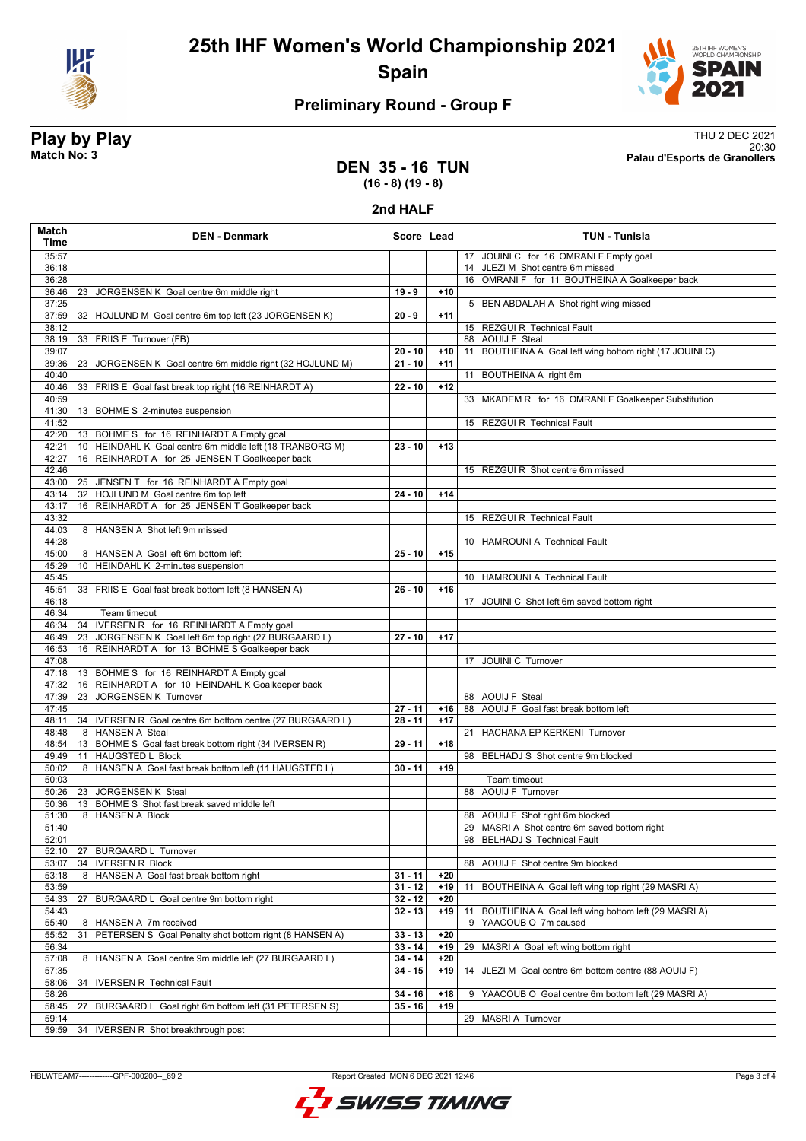



## **Preliminary Round - Group F**

**Play by Play**<br>Match No: 3<br>Palau d'Esports de Granollers 20:30 **Match No: 3 Palau d'Esports de Granollers**

### **DEN 35 - 16 TUN (16 - 8) (19 - 8)**

#### **2nd HALF**

| 35:57<br>17 JOUINI C for 16 OMRANI F Empty goal<br>14 JLEZI M Shot centre 6m missed<br>36:18<br>36:28<br>16 OMRANI F for 11 BOUTHEINA A Goalkeeper back<br>36:46<br>$19 - 9$<br>$+10$<br>23 JORGENSEN K Goal centre 6m middle right<br>37:25<br>5 BEN ABDALAH A Shot right wing missed<br>37:59<br>32 HOJLUND M Goal centre 6m top left (23 JORGENSEN K)<br>$+11$<br>$20 - 9$<br>38:12<br>15 REZGUI R Technical Fault<br>33 FRIIS E Turnover (FB)<br>38:19<br>88 AOUIJ F Steal<br>39:07<br>11 BOUTHEINA A Goal left wing bottom right (17 JOUINI C)<br>$20 - 10$<br>$+10$<br>39:36<br>JORGENSEN K Goal centre 6m middle right (32 HOJLUND M)<br>$21 - 10$<br>23<br>$+11$<br>40:40<br>11 BOUTHEINA A right 6m<br>40:46<br>33 FRIIS E Goal fast break top right (16 REINHARDT A)<br>$+12$<br>$22 - 10$<br>40:59<br>33 MKADEM R for 16 OMRANI F Goalkeeper Substitution<br>41:30<br>13 BOHME S 2-minutes suspension<br>15 REZGUI R Technical Fault<br>41:52<br>42:20<br>13 BOHME S for 16 REINHARDT A Empty goal<br>10 HEINDAHL K Goal centre 6m middle left (18 TRANBORG M)<br>$+13$<br>42:21<br>$23 - 10$<br>42:27<br>16 REINHARDT A for 25 JENSEN T Goalkeeper back<br>42:46<br>15 REZGUI R Shot centre 6m missed<br>43:00<br>25 JENSEN T for 16 REINHARDT A Empty goal<br>32 HOJLUND M Goal centre 6m top left<br>$+14$<br>43:14<br>$24 - 10$<br>16 REINHARDT A for 25 JENSEN T Goalkeeper back<br>43:17<br>43:32<br>15 REZGUI R Technical Fault<br>44:03<br>8 HANSEN A Shot left 9m missed<br>44:28<br>10 HAMROUNI A Technical Fault<br>8 HANSEN A Goal left 6m bottom left<br>$25 - 10$<br>45:00<br>$+15$<br>10 HEINDAHL K 2-minutes suspension<br>45:29<br>45:45<br>10 HAMROUNI A Technical Fault<br>45:51<br>33 FRIIS E Goal fast break bottom left (8 HANSEN A)<br>$26 - 10$<br>$+16$<br>46:18<br>17 JOUINI C Shot left 6m saved bottom right<br>46:34<br>Team timeout<br>46:34<br>IVERSEN R for 16 REINHARDT A Empty goal<br>34<br>JORGENSEN K Goal left 6m top right (27 BURGAARD L)<br>$27 - 10$<br>$+17$<br>46:49<br>23<br>46:53<br>16 REINHARDT A for 13 BOHME S Goalkeeper back<br>47:08<br>17 JOUINI C Turnover<br>13 BOHME S for 16 REINHARDT A Empty goal<br>47:18<br>16 REINHARDT A for 10 HEINDAHL K Goalkeeper back<br>47:32<br>JORGENSEN K Turnover<br>47:39<br>88 AOUIJ F Steal<br>23<br>47:45<br>$27 - 11$<br>88 AOUIJ F Goal fast break bottom left<br>+16<br>34 IVERSEN R Goal centre 6m bottom centre (27 BURGAARD L)<br>$28 - 11$<br>48:11<br>$+17$<br>8 HANSEN A Steal<br>21 HACHANA EP KERKENI Turnover<br>48:48<br>13 BOHME S_Goal fast break bottom right (34 IVERSEN R)<br>48:54<br>$29 - 11$<br>$+18$<br>11 HAUGSTED L Block<br>98 BELHADJ S Shot centre 9m blocked<br>49:49<br>8 HANSEN A Goal fast break bottom left (11 HAUGSTED L)<br>$30 - 11$<br>50:02<br>$+19$<br>50:03<br>Team timeout<br>88 AOUIJ F Turnover<br>50:26<br>23 JORGENSEN K Steal<br>13 BOHME S Shot fast break saved middle left<br>50:36<br>51:30<br>8 HANSEN A Block<br>88 AOUIJ F Shot right 6m blocked<br>51:40<br>29 MASRI A Shot centre 6m saved bottom right<br>52:01<br>98 BELHADJ S Technical Fault<br>52:10<br><b>BURGAARD L Turnover</b><br>27<br>53:07<br><b>IVERSEN R Block</b><br>34<br>88 AOUIJ F Shot centre 9m blocked<br>HANSEN A Goal fast break bottom right<br>$31 - 11$<br>53:18<br>8<br>+20<br>53:59<br>$31 - 12$<br>$+19$<br>BOUTHEINA A Goal left wing top right (29 MASRI A)<br>11<br>54:33<br>27<br>$32 - 12$<br>$+20$<br>BURGAARD L Goal centre 9m bottom right<br>54:43<br>$32 - 13$<br>$+19$<br>BOUTHEINA A Goal left wing bottom left (29 MASRI A)<br>11<br>55:40<br>8 HANSEN A 7m received<br>YAACOUB O 7m caused<br>9<br>55:52<br>PETERSEN S Goal Penalty shot bottom right (8 HANSEN A)<br>$33 - 13$<br>$+20$<br>31<br>$33 - 14$<br>56:34<br>$+19$<br>29 MASRI A Goal left wing bottom right<br>57:08<br>8 HANSEN A Goal centre 9m middle left (27 BURGAARD L)<br>$34 - 14$<br>$+20$<br>57:35<br>$34 - 15$<br>$+19$<br>14 JLEZI M Goal centre 6m bottom centre (88 AOUIJ F)<br>58:06<br>34 IVERSEN R Technical Fault<br>58:26<br>$34 - 16$<br>$+18$<br>YAACOUB O Goal centre 6m bottom left (29 MASRI A)<br>9<br>$+19$<br>58:45<br>BURGAARD L Goal right 6m bottom left (31 PETERSEN S)<br>$35 - 16$<br>27<br>59:14<br>29 MASRI A Turnover<br>59:59 | Match<br>Time | <b>DEN - Denmark</b>                | Score Lead | <b>TUN - Tunisia</b> |
|--------------------------------------------------------------------------------------------------------------------------------------------------------------------------------------------------------------------------------------------------------------------------------------------------------------------------------------------------------------------------------------------------------------------------------------------------------------------------------------------------------------------------------------------------------------------------------------------------------------------------------------------------------------------------------------------------------------------------------------------------------------------------------------------------------------------------------------------------------------------------------------------------------------------------------------------------------------------------------------------------------------------------------------------------------------------------------------------------------------------------------------------------------------------------------------------------------------------------------------------------------------------------------------------------------------------------------------------------------------------------------------------------------------------------------------------------------------------------------------------------------------------------------------------------------------------------------------------------------------------------------------------------------------------------------------------------------------------------------------------------------------------------------------------------------------------------------------------------------------------------------------------------------------------------------------------------------------------------------------------------------------------------------------------------------------------------------------------------------------------------------------------------------------------------------------------------------------------------------------------------------------------------------------------------------------------------------------------------------------------------------------------------------------------------------------------------------------------------------------------------------------------------------------------------------------------------------------------------------------------------------------------------------------------------------------------------------------------------------------------------------------------------------------------------------------------------------------------------------------------------------------------------------------------------------------------------------------------------------------------------------------------------------------------------------------------------------------------------------------------------------------------------------------------------------------------------------------------------------------------------------------------------------------------------------------------------------------------------------------------------------------------------------------------------------------------------------------------------------------------------------------------------------------------------------------------------------------------------------------------------------------------------------------------------------------------------------------------------------------------------------------------------------------------------------------------------------------------------------------------------------------------------------------------------------------------------------------------------------------------------------------------------------------------------------------------------------------------------------------------------------------------------------------------------------------------------------------------------------------------------------------------------------------------|---------------|-------------------------------------|------------|----------------------|
|                                                                                                                                                                                                                                                                                                                                                                                                                                                                                                                                                                                                                                                                                                                                                                                                                                                                                                                                                                                                                                                                                                                                                                                                                                                                                                                                                                                                                                                                                                                                                                                                                                                                                                                                                                                                                                                                                                                                                                                                                                                                                                                                                                                                                                                                                                                                                                                                                                                                                                                                                                                                                                                                                                                                                                                                                                                                                                                                                                                                                                                                                                                                                                                                                                                                                                                                                                                                                                                                                                                                                                                                                                                                                                                                                                                                                                                                                                                                                                                                                                                                                                                                                                                                                                                                                            |               |                                     |            |                      |
|                                                                                                                                                                                                                                                                                                                                                                                                                                                                                                                                                                                                                                                                                                                                                                                                                                                                                                                                                                                                                                                                                                                                                                                                                                                                                                                                                                                                                                                                                                                                                                                                                                                                                                                                                                                                                                                                                                                                                                                                                                                                                                                                                                                                                                                                                                                                                                                                                                                                                                                                                                                                                                                                                                                                                                                                                                                                                                                                                                                                                                                                                                                                                                                                                                                                                                                                                                                                                                                                                                                                                                                                                                                                                                                                                                                                                                                                                                                                                                                                                                                                                                                                                                                                                                                                                            |               |                                     |            |                      |
|                                                                                                                                                                                                                                                                                                                                                                                                                                                                                                                                                                                                                                                                                                                                                                                                                                                                                                                                                                                                                                                                                                                                                                                                                                                                                                                                                                                                                                                                                                                                                                                                                                                                                                                                                                                                                                                                                                                                                                                                                                                                                                                                                                                                                                                                                                                                                                                                                                                                                                                                                                                                                                                                                                                                                                                                                                                                                                                                                                                                                                                                                                                                                                                                                                                                                                                                                                                                                                                                                                                                                                                                                                                                                                                                                                                                                                                                                                                                                                                                                                                                                                                                                                                                                                                                                            |               |                                     |            |                      |
|                                                                                                                                                                                                                                                                                                                                                                                                                                                                                                                                                                                                                                                                                                                                                                                                                                                                                                                                                                                                                                                                                                                                                                                                                                                                                                                                                                                                                                                                                                                                                                                                                                                                                                                                                                                                                                                                                                                                                                                                                                                                                                                                                                                                                                                                                                                                                                                                                                                                                                                                                                                                                                                                                                                                                                                                                                                                                                                                                                                                                                                                                                                                                                                                                                                                                                                                                                                                                                                                                                                                                                                                                                                                                                                                                                                                                                                                                                                                                                                                                                                                                                                                                                                                                                                                                            |               |                                     |            |                      |
|                                                                                                                                                                                                                                                                                                                                                                                                                                                                                                                                                                                                                                                                                                                                                                                                                                                                                                                                                                                                                                                                                                                                                                                                                                                                                                                                                                                                                                                                                                                                                                                                                                                                                                                                                                                                                                                                                                                                                                                                                                                                                                                                                                                                                                                                                                                                                                                                                                                                                                                                                                                                                                                                                                                                                                                                                                                                                                                                                                                                                                                                                                                                                                                                                                                                                                                                                                                                                                                                                                                                                                                                                                                                                                                                                                                                                                                                                                                                                                                                                                                                                                                                                                                                                                                                                            |               |                                     |            |                      |
|                                                                                                                                                                                                                                                                                                                                                                                                                                                                                                                                                                                                                                                                                                                                                                                                                                                                                                                                                                                                                                                                                                                                                                                                                                                                                                                                                                                                                                                                                                                                                                                                                                                                                                                                                                                                                                                                                                                                                                                                                                                                                                                                                                                                                                                                                                                                                                                                                                                                                                                                                                                                                                                                                                                                                                                                                                                                                                                                                                                                                                                                                                                                                                                                                                                                                                                                                                                                                                                                                                                                                                                                                                                                                                                                                                                                                                                                                                                                                                                                                                                                                                                                                                                                                                                                                            |               |                                     |            |                      |
|                                                                                                                                                                                                                                                                                                                                                                                                                                                                                                                                                                                                                                                                                                                                                                                                                                                                                                                                                                                                                                                                                                                                                                                                                                                                                                                                                                                                                                                                                                                                                                                                                                                                                                                                                                                                                                                                                                                                                                                                                                                                                                                                                                                                                                                                                                                                                                                                                                                                                                                                                                                                                                                                                                                                                                                                                                                                                                                                                                                                                                                                                                                                                                                                                                                                                                                                                                                                                                                                                                                                                                                                                                                                                                                                                                                                                                                                                                                                                                                                                                                                                                                                                                                                                                                                                            |               |                                     |            |                      |
|                                                                                                                                                                                                                                                                                                                                                                                                                                                                                                                                                                                                                                                                                                                                                                                                                                                                                                                                                                                                                                                                                                                                                                                                                                                                                                                                                                                                                                                                                                                                                                                                                                                                                                                                                                                                                                                                                                                                                                                                                                                                                                                                                                                                                                                                                                                                                                                                                                                                                                                                                                                                                                                                                                                                                                                                                                                                                                                                                                                                                                                                                                                                                                                                                                                                                                                                                                                                                                                                                                                                                                                                                                                                                                                                                                                                                                                                                                                                                                                                                                                                                                                                                                                                                                                                                            |               |                                     |            |                      |
|                                                                                                                                                                                                                                                                                                                                                                                                                                                                                                                                                                                                                                                                                                                                                                                                                                                                                                                                                                                                                                                                                                                                                                                                                                                                                                                                                                                                                                                                                                                                                                                                                                                                                                                                                                                                                                                                                                                                                                                                                                                                                                                                                                                                                                                                                                                                                                                                                                                                                                                                                                                                                                                                                                                                                                                                                                                                                                                                                                                                                                                                                                                                                                                                                                                                                                                                                                                                                                                                                                                                                                                                                                                                                                                                                                                                                                                                                                                                                                                                                                                                                                                                                                                                                                                                                            |               |                                     |            |                      |
|                                                                                                                                                                                                                                                                                                                                                                                                                                                                                                                                                                                                                                                                                                                                                                                                                                                                                                                                                                                                                                                                                                                                                                                                                                                                                                                                                                                                                                                                                                                                                                                                                                                                                                                                                                                                                                                                                                                                                                                                                                                                                                                                                                                                                                                                                                                                                                                                                                                                                                                                                                                                                                                                                                                                                                                                                                                                                                                                                                                                                                                                                                                                                                                                                                                                                                                                                                                                                                                                                                                                                                                                                                                                                                                                                                                                                                                                                                                                                                                                                                                                                                                                                                                                                                                                                            |               |                                     |            |                      |
|                                                                                                                                                                                                                                                                                                                                                                                                                                                                                                                                                                                                                                                                                                                                                                                                                                                                                                                                                                                                                                                                                                                                                                                                                                                                                                                                                                                                                                                                                                                                                                                                                                                                                                                                                                                                                                                                                                                                                                                                                                                                                                                                                                                                                                                                                                                                                                                                                                                                                                                                                                                                                                                                                                                                                                                                                                                                                                                                                                                                                                                                                                                                                                                                                                                                                                                                                                                                                                                                                                                                                                                                                                                                                                                                                                                                                                                                                                                                                                                                                                                                                                                                                                                                                                                                                            |               |                                     |            |                      |
|                                                                                                                                                                                                                                                                                                                                                                                                                                                                                                                                                                                                                                                                                                                                                                                                                                                                                                                                                                                                                                                                                                                                                                                                                                                                                                                                                                                                                                                                                                                                                                                                                                                                                                                                                                                                                                                                                                                                                                                                                                                                                                                                                                                                                                                                                                                                                                                                                                                                                                                                                                                                                                                                                                                                                                                                                                                                                                                                                                                                                                                                                                                                                                                                                                                                                                                                                                                                                                                                                                                                                                                                                                                                                                                                                                                                                                                                                                                                                                                                                                                                                                                                                                                                                                                                                            |               |                                     |            |                      |
|                                                                                                                                                                                                                                                                                                                                                                                                                                                                                                                                                                                                                                                                                                                                                                                                                                                                                                                                                                                                                                                                                                                                                                                                                                                                                                                                                                                                                                                                                                                                                                                                                                                                                                                                                                                                                                                                                                                                                                                                                                                                                                                                                                                                                                                                                                                                                                                                                                                                                                                                                                                                                                                                                                                                                                                                                                                                                                                                                                                                                                                                                                                                                                                                                                                                                                                                                                                                                                                                                                                                                                                                                                                                                                                                                                                                                                                                                                                                                                                                                                                                                                                                                                                                                                                                                            |               |                                     |            |                      |
|                                                                                                                                                                                                                                                                                                                                                                                                                                                                                                                                                                                                                                                                                                                                                                                                                                                                                                                                                                                                                                                                                                                                                                                                                                                                                                                                                                                                                                                                                                                                                                                                                                                                                                                                                                                                                                                                                                                                                                                                                                                                                                                                                                                                                                                                                                                                                                                                                                                                                                                                                                                                                                                                                                                                                                                                                                                                                                                                                                                                                                                                                                                                                                                                                                                                                                                                                                                                                                                                                                                                                                                                                                                                                                                                                                                                                                                                                                                                                                                                                                                                                                                                                                                                                                                                                            |               |                                     |            |                      |
|                                                                                                                                                                                                                                                                                                                                                                                                                                                                                                                                                                                                                                                                                                                                                                                                                                                                                                                                                                                                                                                                                                                                                                                                                                                                                                                                                                                                                                                                                                                                                                                                                                                                                                                                                                                                                                                                                                                                                                                                                                                                                                                                                                                                                                                                                                                                                                                                                                                                                                                                                                                                                                                                                                                                                                                                                                                                                                                                                                                                                                                                                                                                                                                                                                                                                                                                                                                                                                                                                                                                                                                                                                                                                                                                                                                                                                                                                                                                                                                                                                                                                                                                                                                                                                                                                            |               |                                     |            |                      |
|                                                                                                                                                                                                                                                                                                                                                                                                                                                                                                                                                                                                                                                                                                                                                                                                                                                                                                                                                                                                                                                                                                                                                                                                                                                                                                                                                                                                                                                                                                                                                                                                                                                                                                                                                                                                                                                                                                                                                                                                                                                                                                                                                                                                                                                                                                                                                                                                                                                                                                                                                                                                                                                                                                                                                                                                                                                                                                                                                                                                                                                                                                                                                                                                                                                                                                                                                                                                                                                                                                                                                                                                                                                                                                                                                                                                                                                                                                                                                                                                                                                                                                                                                                                                                                                                                            |               |                                     |            |                      |
|                                                                                                                                                                                                                                                                                                                                                                                                                                                                                                                                                                                                                                                                                                                                                                                                                                                                                                                                                                                                                                                                                                                                                                                                                                                                                                                                                                                                                                                                                                                                                                                                                                                                                                                                                                                                                                                                                                                                                                                                                                                                                                                                                                                                                                                                                                                                                                                                                                                                                                                                                                                                                                                                                                                                                                                                                                                                                                                                                                                                                                                                                                                                                                                                                                                                                                                                                                                                                                                                                                                                                                                                                                                                                                                                                                                                                                                                                                                                                                                                                                                                                                                                                                                                                                                                                            |               |                                     |            |                      |
|                                                                                                                                                                                                                                                                                                                                                                                                                                                                                                                                                                                                                                                                                                                                                                                                                                                                                                                                                                                                                                                                                                                                                                                                                                                                                                                                                                                                                                                                                                                                                                                                                                                                                                                                                                                                                                                                                                                                                                                                                                                                                                                                                                                                                                                                                                                                                                                                                                                                                                                                                                                                                                                                                                                                                                                                                                                                                                                                                                                                                                                                                                                                                                                                                                                                                                                                                                                                                                                                                                                                                                                                                                                                                                                                                                                                                                                                                                                                                                                                                                                                                                                                                                                                                                                                                            |               |                                     |            |                      |
|                                                                                                                                                                                                                                                                                                                                                                                                                                                                                                                                                                                                                                                                                                                                                                                                                                                                                                                                                                                                                                                                                                                                                                                                                                                                                                                                                                                                                                                                                                                                                                                                                                                                                                                                                                                                                                                                                                                                                                                                                                                                                                                                                                                                                                                                                                                                                                                                                                                                                                                                                                                                                                                                                                                                                                                                                                                                                                                                                                                                                                                                                                                                                                                                                                                                                                                                                                                                                                                                                                                                                                                                                                                                                                                                                                                                                                                                                                                                                                                                                                                                                                                                                                                                                                                                                            |               |                                     |            |                      |
|                                                                                                                                                                                                                                                                                                                                                                                                                                                                                                                                                                                                                                                                                                                                                                                                                                                                                                                                                                                                                                                                                                                                                                                                                                                                                                                                                                                                                                                                                                                                                                                                                                                                                                                                                                                                                                                                                                                                                                                                                                                                                                                                                                                                                                                                                                                                                                                                                                                                                                                                                                                                                                                                                                                                                                                                                                                                                                                                                                                                                                                                                                                                                                                                                                                                                                                                                                                                                                                                                                                                                                                                                                                                                                                                                                                                                                                                                                                                                                                                                                                                                                                                                                                                                                                                                            |               |                                     |            |                      |
|                                                                                                                                                                                                                                                                                                                                                                                                                                                                                                                                                                                                                                                                                                                                                                                                                                                                                                                                                                                                                                                                                                                                                                                                                                                                                                                                                                                                                                                                                                                                                                                                                                                                                                                                                                                                                                                                                                                                                                                                                                                                                                                                                                                                                                                                                                                                                                                                                                                                                                                                                                                                                                                                                                                                                                                                                                                                                                                                                                                                                                                                                                                                                                                                                                                                                                                                                                                                                                                                                                                                                                                                                                                                                                                                                                                                                                                                                                                                                                                                                                                                                                                                                                                                                                                                                            |               |                                     |            |                      |
|                                                                                                                                                                                                                                                                                                                                                                                                                                                                                                                                                                                                                                                                                                                                                                                                                                                                                                                                                                                                                                                                                                                                                                                                                                                                                                                                                                                                                                                                                                                                                                                                                                                                                                                                                                                                                                                                                                                                                                                                                                                                                                                                                                                                                                                                                                                                                                                                                                                                                                                                                                                                                                                                                                                                                                                                                                                                                                                                                                                                                                                                                                                                                                                                                                                                                                                                                                                                                                                                                                                                                                                                                                                                                                                                                                                                                                                                                                                                                                                                                                                                                                                                                                                                                                                                                            |               |                                     |            |                      |
|                                                                                                                                                                                                                                                                                                                                                                                                                                                                                                                                                                                                                                                                                                                                                                                                                                                                                                                                                                                                                                                                                                                                                                                                                                                                                                                                                                                                                                                                                                                                                                                                                                                                                                                                                                                                                                                                                                                                                                                                                                                                                                                                                                                                                                                                                                                                                                                                                                                                                                                                                                                                                                                                                                                                                                                                                                                                                                                                                                                                                                                                                                                                                                                                                                                                                                                                                                                                                                                                                                                                                                                                                                                                                                                                                                                                                                                                                                                                                                                                                                                                                                                                                                                                                                                                                            |               |                                     |            |                      |
|                                                                                                                                                                                                                                                                                                                                                                                                                                                                                                                                                                                                                                                                                                                                                                                                                                                                                                                                                                                                                                                                                                                                                                                                                                                                                                                                                                                                                                                                                                                                                                                                                                                                                                                                                                                                                                                                                                                                                                                                                                                                                                                                                                                                                                                                                                                                                                                                                                                                                                                                                                                                                                                                                                                                                                                                                                                                                                                                                                                                                                                                                                                                                                                                                                                                                                                                                                                                                                                                                                                                                                                                                                                                                                                                                                                                                                                                                                                                                                                                                                                                                                                                                                                                                                                                                            |               |                                     |            |                      |
|                                                                                                                                                                                                                                                                                                                                                                                                                                                                                                                                                                                                                                                                                                                                                                                                                                                                                                                                                                                                                                                                                                                                                                                                                                                                                                                                                                                                                                                                                                                                                                                                                                                                                                                                                                                                                                                                                                                                                                                                                                                                                                                                                                                                                                                                                                                                                                                                                                                                                                                                                                                                                                                                                                                                                                                                                                                                                                                                                                                                                                                                                                                                                                                                                                                                                                                                                                                                                                                                                                                                                                                                                                                                                                                                                                                                                                                                                                                                                                                                                                                                                                                                                                                                                                                                                            |               |                                     |            |                      |
|                                                                                                                                                                                                                                                                                                                                                                                                                                                                                                                                                                                                                                                                                                                                                                                                                                                                                                                                                                                                                                                                                                                                                                                                                                                                                                                                                                                                                                                                                                                                                                                                                                                                                                                                                                                                                                                                                                                                                                                                                                                                                                                                                                                                                                                                                                                                                                                                                                                                                                                                                                                                                                                                                                                                                                                                                                                                                                                                                                                                                                                                                                                                                                                                                                                                                                                                                                                                                                                                                                                                                                                                                                                                                                                                                                                                                                                                                                                                                                                                                                                                                                                                                                                                                                                                                            |               |                                     |            |                      |
|                                                                                                                                                                                                                                                                                                                                                                                                                                                                                                                                                                                                                                                                                                                                                                                                                                                                                                                                                                                                                                                                                                                                                                                                                                                                                                                                                                                                                                                                                                                                                                                                                                                                                                                                                                                                                                                                                                                                                                                                                                                                                                                                                                                                                                                                                                                                                                                                                                                                                                                                                                                                                                                                                                                                                                                                                                                                                                                                                                                                                                                                                                                                                                                                                                                                                                                                                                                                                                                                                                                                                                                                                                                                                                                                                                                                                                                                                                                                                                                                                                                                                                                                                                                                                                                                                            |               |                                     |            |                      |
|                                                                                                                                                                                                                                                                                                                                                                                                                                                                                                                                                                                                                                                                                                                                                                                                                                                                                                                                                                                                                                                                                                                                                                                                                                                                                                                                                                                                                                                                                                                                                                                                                                                                                                                                                                                                                                                                                                                                                                                                                                                                                                                                                                                                                                                                                                                                                                                                                                                                                                                                                                                                                                                                                                                                                                                                                                                                                                                                                                                                                                                                                                                                                                                                                                                                                                                                                                                                                                                                                                                                                                                                                                                                                                                                                                                                                                                                                                                                                                                                                                                                                                                                                                                                                                                                                            |               |                                     |            |                      |
|                                                                                                                                                                                                                                                                                                                                                                                                                                                                                                                                                                                                                                                                                                                                                                                                                                                                                                                                                                                                                                                                                                                                                                                                                                                                                                                                                                                                                                                                                                                                                                                                                                                                                                                                                                                                                                                                                                                                                                                                                                                                                                                                                                                                                                                                                                                                                                                                                                                                                                                                                                                                                                                                                                                                                                                                                                                                                                                                                                                                                                                                                                                                                                                                                                                                                                                                                                                                                                                                                                                                                                                                                                                                                                                                                                                                                                                                                                                                                                                                                                                                                                                                                                                                                                                                                            |               |                                     |            |                      |
|                                                                                                                                                                                                                                                                                                                                                                                                                                                                                                                                                                                                                                                                                                                                                                                                                                                                                                                                                                                                                                                                                                                                                                                                                                                                                                                                                                                                                                                                                                                                                                                                                                                                                                                                                                                                                                                                                                                                                                                                                                                                                                                                                                                                                                                                                                                                                                                                                                                                                                                                                                                                                                                                                                                                                                                                                                                                                                                                                                                                                                                                                                                                                                                                                                                                                                                                                                                                                                                                                                                                                                                                                                                                                                                                                                                                                                                                                                                                                                                                                                                                                                                                                                                                                                                                                            |               |                                     |            |                      |
|                                                                                                                                                                                                                                                                                                                                                                                                                                                                                                                                                                                                                                                                                                                                                                                                                                                                                                                                                                                                                                                                                                                                                                                                                                                                                                                                                                                                                                                                                                                                                                                                                                                                                                                                                                                                                                                                                                                                                                                                                                                                                                                                                                                                                                                                                                                                                                                                                                                                                                                                                                                                                                                                                                                                                                                                                                                                                                                                                                                                                                                                                                                                                                                                                                                                                                                                                                                                                                                                                                                                                                                                                                                                                                                                                                                                                                                                                                                                                                                                                                                                                                                                                                                                                                                                                            |               |                                     |            |                      |
|                                                                                                                                                                                                                                                                                                                                                                                                                                                                                                                                                                                                                                                                                                                                                                                                                                                                                                                                                                                                                                                                                                                                                                                                                                                                                                                                                                                                                                                                                                                                                                                                                                                                                                                                                                                                                                                                                                                                                                                                                                                                                                                                                                                                                                                                                                                                                                                                                                                                                                                                                                                                                                                                                                                                                                                                                                                                                                                                                                                                                                                                                                                                                                                                                                                                                                                                                                                                                                                                                                                                                                                                                                                                                                                                                                                                                                                                                                                                                                                                                                                                                                                                                                                                                                                                                            |               |                                     |            |                      |
|                                                                                                                                                                                                                                                                                                                                                                                                                                                                                                                                                                                                                                                                                                                                                                                                                                                                                                                                                                                                                                                                                                                                                                                                                                                                                                                                                                                                                                                                                                                                                                                                                                                                                                                                                                                                                                                                                                                                                                                                                                                                                                                                                                                                                                                                                                                                                                                                                                                                                                                                                                                                                                                                                                                                                                                                                                                                                                                                                                                                                                                                                                                                                                                                                                                                                                                                                                                                                                                                                                                                                                                                                                                                                                                                                                                                                                                                                                                                                                                                                                                                                                                                                                                                                                                                                            |               |                                     |            |                      |
|                                                                                                                                                                                                                                                                                                                                                                                                                                                                                                                                                                                                                                                                                                                                                                                                                                                                                                                                                                                                                                                                                                                                                                                                                                                                                                                                                                                                                                                                                                                                                                                                                                                                                                                                                                                                                                                                                                                                                                                                                                                                                                                                                                                                                                                                                                                                                                                                                                                                                                                                                                                                                                                                                                                                                                                                                                                                                                                                                                                                                                                                                                                                                                                                                                                                                                                                                                                                                                                                                                                                                                                                                                                                                                                                                                                                                                                                                                                                                                                                                                                                                                                                                                                                                                                                                            |               |                                     |            |                      |
|                                                                                                                                                                                                                                                                                                                                                                                                                                                                                                                                                                                                                                                                                                                                                                                                                                                                                                                                                                                                                                                                                                                                                                                                                                                                                                                                                                                                                                                                                                                                                                                                                                                                                                                                                                                                                                                                                                                                                                                                                                                                                                                                                                                                                                                                                                                                                                                                                                                                                                                                                                                                                                                                                                                                                                                                                                                                                                                                                                                                                                                                                                                                                                                                                                                                                                                                                                                                                                                                                                                                                                                                                                                                                                                                                                                                                                                                                                                                                                                                                                                                                                                                                                                                                                                                                            |               |                                     |            |                      |
|                                                                                                                                                                                                                                                                                                                                                                                                                                                                                                                                                                                                                                                                                                                                                                                                                                                                                                                                                                                                                                                                                                                                                                                                                                                                                                                                                                                                                                                                                                                                                                                                                                                                                                                                                                                                                                                                                                                                                                                                                                                                                                                                                                                                                                                                                                                                                                                                                                                                                                                                                                                                                                                                                                                                                                                                                                                                                                                                                                                                                                                                                                                                                                                                                                                                                                                                                                                                                                                                                                                                                                                                                                                                                                                                                                                                                                                                                                                                                                                                                                                                                                                                                                                                                                                                                            |               |                                     |            |                      |
|                                                                                                                                                                                                                                                                                                                                                                                                                                                                                                                                                                                                                                                                                                                                                                                                                                                                                                                                                                                                                                                                                                                                                                                                                                                                                                                                                                                                                                                                                                                                                                                                                                                                                                                                                                                                                                                                                                                                                                                                                                                                                                                                                                                                                                                                                                                                                                                                                                                                                                                                                                                                                                                                                                                                                                                                                                                                                                                                                                                                                                                                                                                                                                                                                                                                                                                                                                                                                                                                                                                                                                                                                                                                                                                                                                                                                                                                                                                                                                                                                                                                                                                                                                                                                                                                                            |               |                                     |            |                      |
|                                                                                                                                                                                                                                                                                                                                                                                                                                                                                                                                                                                                                                                                                                                                                                                                                                                                                                                                                                                                                                                                                                                                                                                                                                                                                                                                                                                                                                                                                                                                                                                                                                                                                                                                                                                                                                                                                                                                                                                                                                                                                                                                                                                                                                                                                                                                                                                                                                                                                                                                                                                                                                                                                                                                                                                                                                                                                                                                                                                                                                                                                                                                                                                                                                                                                                                                                                                                                                                                                                                                                                                                                                                                                                                                                                                                                                                                                                                                                                                                                                                                                                                                                                                                                                                                                            |               |                                     |            |                      |
|                                                                                                                                                                                                                                                                                                                                                                                                                                                                                                                                                                                                                                                                                                                                                                                                                                                                                                                                                                                                                                                                                                                                                                                                                                                                                                                                                                                                                                                                                                                                                                                                                                                                                                                                                                                                                                                                                                                                                                                                                                                                                                                                                                                                                                                                                                                                                                                                                                                                                                                                                                                                                                                                                                                                                                                                                                                                                                                                                                                                                                                                                                                                                                                                                                                                                                                                                                                                                                                                                                                                                                                                                                                                                                                                                                                                                                                                                                                                                                                                                                                                                                                                                                                                                                                                                            |               |                                     |            |                      |
|                                                                                                                                                                                                                                                                                                                                                                                                                                                                                                                                                                                                                                                                                                                                                                                                                                                                                                                                                                                                                                                                                                                                                                                                                                                                                                                                                                                                                                                                                                                                                                                                                                                                                                                                                                                                                                                                                                                                                                                                                                                                                                                                                                                                                                                                                                                                                                                                                                                                                                                                                                                                                                                                                                                                                                                                                                                                                                                                                                                                                                                                                                                                                                                                                                                                                                                                                                                                                                                                                                                                                                                                                                                                                                                                                                                                                                                                                                                                                                                                                                                                                                                                                                                                                                                                                            |               |                                     |            |                      |
|                                                                                                                                                                                                                                                                                                                                                                                                                                                                                                                                                                                                                                                                                                                                                                                                                                                                                                                                                                                                                                                                                                                                                                                                                                                                                                                                                                                                                                                                                                                                                                                                                                                                                                                                                                                                                                                                                                                                                                                                                                                                                                                                                                                                                                                                                                                                                                                                                                                                                                                                                                                                                                                                                                                                                                                                                                                                                                                                                                                                                                                                                                                                                                                                                                                                                                                                                                                                                                                                                                                                                                                                                                                                                                                                                                                                                                                                                                                                                                                                                                                                                                                                                                                                                                                                                            |               |                                     |            |                      |
|                                                                                                                                                                                                                                                                                                                                                                                                                                                                                                                                                                                                                                                                                                                                                                                                                                                                                                                                                                                                                                                                                                                                                                                                                                                                                                                                                                                                                                                                                                                                                                                                                                                                                                                                                                                                                                                                                                                                                                                                                                                                                                                                                                                                                                                                                                                                                                                                                                                                                                                                                                                                                                                                                                                                                                                                                                                                                                                                                                                                                                                                                                                                                                                                                                                                                                                                                                                                                                                                                                                                                                                                                                                                                                                                                                                                                                                                                                                                                                                                                                                                                                                                                                                                                                                                                            |               |                                     |            |                      |
|                                                                                                                                                                                                                                                                                                                                                                                                                                                                                                                                                                                                                                                                                                                                                                                                                                                                                                                                                                                                                                                                                                                                                                                                                                                                                                                                                                                                                                                                                                                                                                                                                                                                                                                                                                                                                                                                                                                                                                                                                                                                                                                                                                                                                                                                                                                                                                                                                                                                                                                                                                                                                                                                                                                                                                                                                                                                                                                                                                                                                                                                                                                                                                                                                                                                                                                                                                                                                                                                                                                                                                                                                                                                                                                                                                                                                                                                                                                                                                                                                                                                                                                                                                                                                                                                                            |               |                                     |            |                      |
|                                                                                                                                                                                                                                                                                                                                                                                                                                                                                                                                                                                                                                                                                                                                                                                                                                                                                                                                                                                                                                                                                                                                                                                                                                                                                                                                                                                                                                                                                                                                                                                                                                                                                                                                                                                                                                                                                                                                                                                                                                                                                                                                                                                                                                                                                                                                                                                                                                                                                                                                                                                                                                                                                                                                                                                                                                                                                                                                                                                                                                                                                                                                                                                                                                                                                                                                                                                                                                                                                                                                                                                                                                                                                                                                                                                                                                                                                                                                                                                                                                                                                                                                                                                                                                                                                            |               |                                     |            |                      |
|                                                                                                                                                                                                                                                                                                                                                                                                                                                                                                                                                                                                                                                                                                                                                                                                                                                                                                                                                                                                                                                                                                                                                                                                                                                                                                                                                                                                                                                                                                                                                                                                                                                                                                                                                                                                                                                                                                                                                                                                                                                                                                                                                                                                                                                                                                                                                                                                                                                                                                                                                                                                                                                                                                                                                                                                                                                                                                                                                                                                                                                                                                                                                                                                                                                                                                                                                                                                                                                                                                                                                                                                                                                                                                                                                                                                                                                                                                                                                                                                                                                                                                                                                                                                                                                                                            |               |                                     |            |                      |
|                                                                                                                                                                                                                                                                                                                                                                                                                                                                                                                                                                                                                                                                                                                                                                                                                                                                                                                                                                                                                                                                                                                                                                                                                                                                                                                                                                                                                                                                                                                                                                                                                                                                                                                                                                                                                                                                                                                                                                                                                                                                                                                                                                                                                                                                                                                                                                                                                                                                                                                                                                                                                                                                                                                                                                                                                                                                                                                                                                                                                                                                                                                                                                                                                                                                                                                                                                                                                                                                                                                                                                                                                                                                                                                                                                                                                                                                                                                                                                                                                                                                                                                                                                                                                                                                                            |               |                                     |            |                      |
|                                                                                                                                                                                                                                                                                                                                                                                                                                                                                                                                                                                                                                                                                                                                                                                                                                                                                                                                                                                                                                                                                                                                                                                                                                                                                                                                                                                                                                                                                                                                                                                                                                                                                                                                                                                                                                                                                                                                                                                                                                                                                                                                                                                                                                                                                                                                                                                                                                                                                                                                                                                                                                                                                                                                                                                                                                                                                                                                                                                                                                                                                                                                                                                                                                                                                                                                                                                                                                                                                                                                                                                                                                                                                                                                                                                                                                                                                                                                                                                                                                                                                                                                                                                                                                                                                            |               |                                     |            |                      |
|                                                                                                                                                                                                                                                                                                                                                                                                                                                                                                                                                                                                                                                                                                                                                                                                                                                                                                                                                                                                                                                                                                                                                                                                                                                                                                                                                                                                                                                                                                                                                                                                                                                                                                                                                                                                                                                                                                                                                                                                                                                                                                                                                                                                                                                                                                                                                                                                                                                                                                                                                                                                                                                                                                                                                                                                                                                                                                                                                                                                                                                                                                                                                                                                                                                                                                                                                                                                                                                                                                                                                                                                                                                                                                                                                                                                                                                                                                                                                                                                                                                                                                                                                                                                                                                                                            |               |                                     |            |                      |
|                                                                                                                                                                                                                                                                                                                                                                                                                                                                                                                                                                                                                                                                                                                                                                                                                                                                                                                                                                                                                                                                                                                                                                                                                                                                                                                                                                                                                                                                                                                                                                                                                                                                                                                                                                                                                                                                                                                                                                                                                                                                                                                                                                                                                                                                                                                                                                                                                                                                                                                                                                                                                                                                                                                                                                                                                                                                                                                                                                                                                                                                                                                                                                                                                                                                                                                                                                                                                                                                                                                                                                                                                                                                                                                                                                                                                                                                                                                                                                                                                                                                                                                                                                                                                                                                                            |               |                                     |            |                      |
|                                                                                                                                                                                                                                                                                                                                                                                                                                                                                                                                                                                                                                                                                                                                                                                                                                                                                                                                                                                                                                                                                                                                                                                                                                                                                                                                                                                                                                                                                                                                                                                                                                                                                                                                                                                                                                                                                                                                                                                                                                                                                                                                                                                                                                                                                                                                                                                                                                                                                                                                                                                                                                                                                                                                                                                                                                                                                                                                                                                                                                                                                                                                                                                                                                                                                                                                                                                                                                                                                                                                                                                                                                                                                                                                                                                                                                                                                                                                                                                                                                                                                                                                                                                                                                                                                            |               |                                     |            |                      |
|                                                                                                                                                                                                                                                                                                                                                                                                                                                                                                                                                                                                                                                                                                                                                                                                                                                                                                                                                                                                                                                                                                                                                                                                                                                                                                                                                                                                                                                                                                                                                                                                                                                                                                                                                                                                                                                                                                                                                                                                                                                                                                                                                                                                                                                                                                                                                                                                                                                                                                                                                                                                                                                                                                                                                                                                                                                                                                                                                                                                                                                                                                                                                                                                                                                                                                                                                                                                                                                                                                                                                                                                                                                                                                                                                                                                                                                                                                                                                                                                                                                                                                                                                                                                                                                                                            |               |                                     |            |                      |
|                                                                                                                                                                                                                                                                                                                                                                                                                                                                                                                                                                                                                                                                                                                                                                                                                                                                                                                                                                                                                                                                                                                                                                                                                                                                                                                                                                                                                                                                                                                                                                                                                                                                                                                                                                                                                                                                                                                                                                                                                                                                                                                                                                                                                                                                                                                                                                                                                                                                                                                                                                                                                                                                                                                                                                                                                                                                                                                                                                                                                                                                                                                                                                                                                                                                                                                                                                                                                                                                                                                                                                                                                                                                                                                                                                                                                                                                                                                                                                                                                                                                                                                                                                                                                                                                                            |               |                                     |            |                      |
|                                                                                                                                                                                                                                                                                                                                                                                                                                                                                                                                                                                                                                                                                                                                                                                                                                                                                                                                                                                                                                                                                                                                                                                                                                                                                                                                                                                                                                                                                                                                                                                                                                                                                                                                                                                                                                                                                                                                                                                                                                                                                                                                                                                                                                                                                                                                                                                                                                                                                                                                                                                                                                                                                                                                                                                                                                                                                                                                                                                                                                                                                                                                                                                                                                                                                                                                                                                                                                                                                                                                                                                                                                                                                                                                                                                                                                                                                                                                                                                                                                                                                                                                                                                                                                                                                            |               |                                     |            |                      |
|                                                                                                                                                                                                                                                                                                                                                                                                                                                                                                                                                                                                                                                                                                                                                                                                                                                                                                                                                                                                                                                                                                                                                                                                                                                                                                                                                                                                                                                                                                                                                                                                                                                                                                                                                                                                                                                                                                                                                                                                                                                                                                                                                                                                                                                                                                                                                                                                                                                                                                                                                                                                                                                                                                                                                                                                                                                                                                                                                                                                                                                                                                                                                                                                                                                                                                                                                                                                                                                                                                                                                                                                                                                                                                                                                                                                                                                                                                                                                                                                                                                                                                                                                                                                                                                                                            |               |                                     |            |                      |
|                                                                                                                                                                                                                                                                                                                                                                                                                                                                                                                                                                                                                                                                                                                                                                                                                                                                                                                                                                                                                                                                                                                                                                                                                                                                                                                                                                                                                                                                                                                                                                                                                                                                                                                                                                                                                                                                                                                                                                                                                                                                                                                                                                                                                                                                                                                                                                                                                                                                                                                                                                                                                                                                                                                                                                                                                                                                                                                                                                                                                                                                                                                                                                                                                                                                                                                                                                                                                                                                                                                                                                                                                                                                                                                                                                                                                                                                                                                                                                                                                                                                                                                                                                                                                                                                                            |               |                                     |            |                      |
|                                                                                                                                                                                                                                                                                                                                                                                                                                                                                                                                                                                                                                                                                                                                                                                                                                                                                                                                                                                                                                                                                                                                                                                                                                                                                                                                                                                                                                                                                                                                                                                                                                                                                                                                                                                                                                                                                                                                                                                                                                                                                                                                                                                                                                                                                                                                                                                                                                                                                                                                                                                                                                                                                                                                                                                                                                                                                                                                                                                                                                                                                                                                                                                                                                                                                                                                                                                                                                                                                                                                                                                                                                                                                                                                                                                                                                                                                                                                                                                                                                                                                                                                                                                                                                                                                            |               |                                     |            |                      |
|                                                                                                                                                                                                                                                                                                                                                                                                                                                                                                                                                                                                                                                                                                                                                                                                                                                                                                                                                                                                                                                                                                                                                                                                                                                                                                                                                                                                                                                                                                                                                                                                                                                                                                                                                                                                                                                                                                                                                                                                                                                                                                                                                                                                                                                                                                                                                                                                                                                                                                                                                                                                                                                                                                                                                                                                                                                                                                                                                                                                                                                                                                                                                                                                                                                                                                                                                                                                                                                                                                                                                                                                                                                                                                                                                                                                                                                                                                                                                                                                                                                                                                                                                                                                                                                                                            |               |                                     |            |                      |
|                                                                                                                                                                                                                                                                                                                                                                                                                                                                                                                                                                                                                                                                                                                                                                                                                                                                                                                                                                                                                                                                                                                                                                                                                                                                                                                                                                                                                                                                                                                                                                                                                                                                                                                                                                                                                                                                                                                                                                                                                                                                                                                                                                                                                                                                                                                                                                                                                                                                                                                                                                                                                                                                                                                                                                                                                                                                                                                                                                                                                                                                                                                                                                                                                                                                                                                                                                                                                                                                                                                                                                                                                                                                                                                                                                                                                                                                                                                                                                                                                                                                                                                                                                                                                                                                                            |               |                                     |            |                      |
|                                                                                                                                                                                                                                                                                                                                                                                                                                                                                                                                                                                                                                                                                                                                                                                                                                                                                                                                                                                                                                                                                                                                                                                                                                                                                                                                                                                                                                                                                                                                                                                                                                                                                                                                                                                                                                                                                                                                                                                                                                                                                                                                                                                                                                                                                                                                                                                                                                                                                                                                                                                                                                                                                                                                                                                                                                                                                                                                                                                                                                                                                                                                                                                                                                                                                                                                                                                                                                                                                                                                                                                                                                                                                                                                                                                                                                                                                                                                                                                                                                                                                                                                                                                                                                                                                            |               |                                     |            |                      |
|                                                                                                                                                                                                                                                                                                                                                                                                                                                                                                                                                                                                                                                                                                                                                                                                                                                                                                                                                                                                                                                                                                                                                                                                                                                                                                                                                                                                                                                                                                                                                                                                                                                                                                                                                                                                                                                                                                                                                                                                                                                                                                                                                                                                                                                                                                                                                                                                                                                                                                                                                                                                                                                                                                                                                                                                                                                                                                                                                                                                                                                                                                                                                                                                                                                                                                                                                                                                                                                                                                                                                                                                                                                                                                                                                                                                                                                                                                                                                                                                                                                                                                                                                                                                                                                                                            |               |                                     |            |                      |
|                                                                                                                                                                                                                                                                                                                                                                                                                                                                                                                                                                                                                                                                                                                                                                                                                                                                                                                                                                                                                                                                                                                                                                                                                                                                                                                                                                                                                                                                                                                                                                                                                                                                                                                                                                                                                                                                                                                                                                                                                                                                                                                                                                                                                                                                                                                                                                                                                                                                                                                                                                                                                                                                                                                                                                                                                                                                                                                                                                                                                                                                                                                                                                                                                                                                                                                                                                                                                                                                                                                                                                                                                                                                                                                                                                                                                                                                                                                                                                                                                                                                                                                                                                                                                                                                                            |               | 34 IVERSEN R Shot breakthrough post |            |                      |